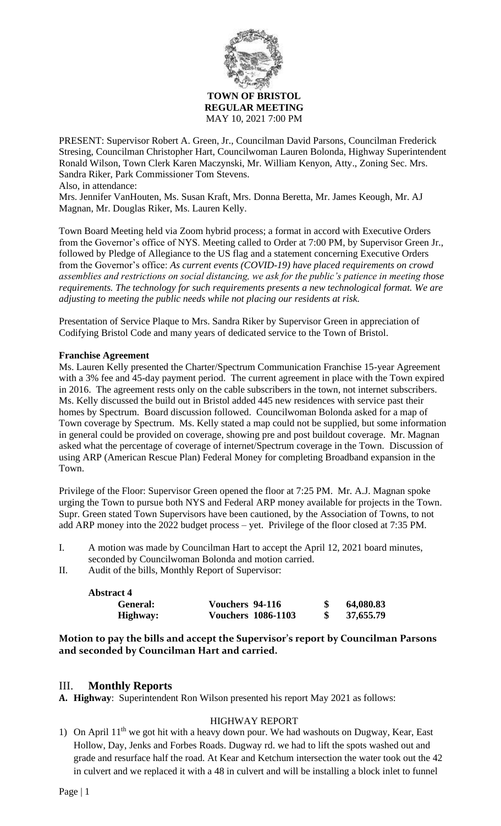

**REGULAR MEETING** MAY 10, 2021 7:00 PM

PRESENT: Supervisor Robert A. Green, Jr., Councilman David Parsons, Councilman Frederick Stresing, Councilman Christopher Hart, Councilwoman Lauren Bolonda, Highway Superintendent Ronald Wilson, Town Clerk Karen Maczynski, Mr. William Kenyon, Atty., Zoning Sec. Mrs. Sandra Riker, Park Commissioner Tom Stevens. Also, in attendance:

Mrs. Jennifer VanHouten, Ms. Susan Kraft, Mrs. Donna Beretta, Mr. James Keough, Mr. AJ Magnan, Mr. Douglas Riker, Ms. Lauren Kelly.

Town Board Meeting held via Zoom hybrid process; a format in accord with Executive Orders from the Governor's office of NYS. Meeting called to Order at 7:00 PM, by Supervisor Green Jr., followed by Pledge of Allegiance to the US flag and a statement concerning Executive Orders from the Governor's office: *As current events (COVID-19) have placed requirements on crowd assemblies and restrictions on social distancing, we ask for the public's patience in meeting those requirements. The technology for such requirements presents a new technological format. We are adjusting to meeting the public needs while not placing our residents at risk.*

Presentation of Service Plaque to Mrs. Sandra Riker by Supervisor Green in appreciation of Codifying Bristol Code and many years of dedicated service to the Town of Bristol.

## **Franchise Agreement**

Ms. Lauren Kelly presented the Charter/Spectrum Communication Franchise 15-year Agreement with a 3% fee and 45-day payment period. The current agreement in place with the Town expired in 2016. The agreement rests only on the cable subscribers in the town, not internet subscribers. Ms. Kelly discussed the build out in Bristol added 445 new residences with service past their homes by Spectrum. Board discussion followed. Councilwoman Bolonda asked for a map of Town coverage by Spectrum. Ms. Kelly stated a map could not be supplied, but some information in general could be provided on coverage, showing pre and post buildout coverage. Mr. Magnan asked what the percentage of coverage of internet/Spectrum coverage in the Town. Discussion of using ARP (American Rescue Plan) Federal Money for completing Broadband expansion in the Town.

Privilege of the Floor: Supervisor Green opened the floor at 7:25 PM. Mr. A.J. Magnan spoke urging the Town to pursue both NYS and Federal ARP money available for projects in the Town. Supr. Green stated Town Supervisors have been cautioned, by the Association of Towns, to not add ARP money into the 2022 budget process – yet. Privilege of the floor closed at 7:35 PM.

I. A motion was made by Councilman Hart to accept the April 12, 2021 board minutes, seconded by Councilwoman Bolonda and motion carried.

II. Audit of the bills, Monthly Report of Supervisor:

| <b>Abstract 4</b> |                           |           |
|-------------------|---------------------------|-----------|
| General:          | Vouchers 94-116           | 64,080.83 |
| Highway:          | <b>Vouchers 1086-1103</b> | 37,655.79 |

**Motion to pay the bills and accept the Supervisor's report by Councilman Parsons and seconded by Councilman Hart and carried.**

## III. **Monthly Reports**

**A. Highway**: Superintendent Ron Wilson presented his report May 2021 as follows:

## HIGHWAY REPORT

1) On April  $11<sup>th</sup>$  we got hit with a heavy down pour. We had washouts on Dugway, Kear, East Hollow, Day, Jenks and Forbes Roads. Dugway rd. we had to lift the spots washed out and grade and resurface half the road. At Kear and Ketchum intersection the water took out the 42 in culvert and we replaced it with a 48 in culvert and will be installing a block inlet to funnel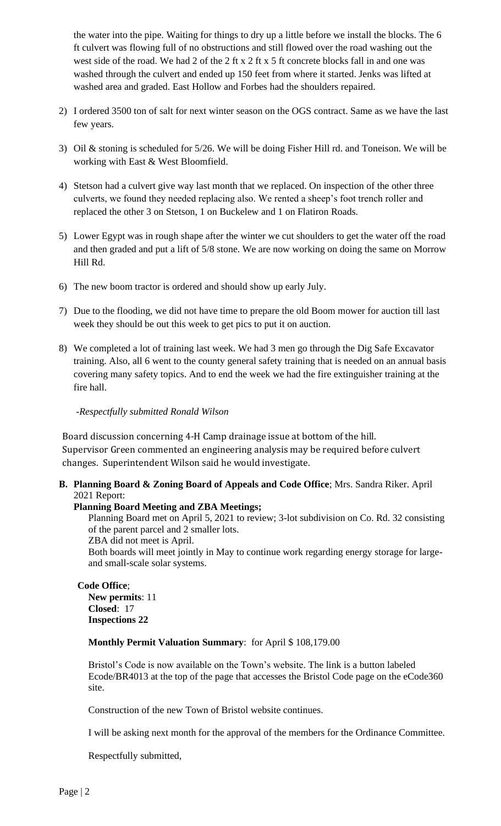the water into the pipe. Waiting for things to dry up a little before we install the blocks. The 6 ft culvert was flowing full of no obstructions and still flowed over the road washing out the west side of the road. We had 2 of the 2 ft x 2 ft x 5 ft concrete blocks fall in and one was washed through the culvert and ended up 150 feet from where it started. Jenks was lifted at washed area and graded. East Hollow and Forbes had the shoulders repaired.

- 2) I ordered 3500 ton of salt for next winter season on the OGS contract. Same as we have the last few years.
- 3) Oil & stoning is scheduled for 5/26. We will be doing Fisher Hill rd. and Toneison. We will be working with East & West Bloomfield.
- 4) Stetson had a culvert give way last month that we replaced. On inspection of the other three culverts, we found they needed replacing also. We rented a sheep's foot trench roller and replaced the other 3 on Stetson, 1 on Buckelew and 1 on Flatiron Roads.
- 5) Lower Egypt was in rough shape after the winter we cut shoulders to get the water off the road and then graded and put a lift of 5/8 stone. We are now working on doing the same on Morrow Hill Rd.
- 6) The new boom tractor is ordered and should show up early July.
- 7) Due to the flooding, we did not have time to prepare the old Boom mower for auction till last week they should be out this week to get pics to put it on auction.
- 8) We completed a lot of training last week. We had 3 men go through the Dig Safe Excavator training. Also, all 6 went to the county general safety training that is needed on an annual basis covering many safety topics. And to end the week we had the fire extinguisher training at the fire hall.

## -*Respectfully submitted Ronald Wilson*

Board discussion concerning 4-H Camp drainage issue at bottom of the hill. Supervisor Green commented an engineering analysis may be required before culvert changes. Superintendent Wilson said he would investigate.

**B. Planning Board & Zoning Board of Appeals and Code Office**; Mrs. Sandra Riker. April 2021 Report:

## **Planning Board Meeting and ZBA Meetings;**

Planning Board met on April 5, 2021 to review; 3-lot subdivision on Co. Rd. 32 consisting of the parent parcel and 2 smaller lots. ZBA did not meet is April.

Both boards will meet jointly in May to continue work regarding energy storage for largeand small-scale solar systems.

# **Code Office**;

**New permits**: 11 **Closed**: 17 **Inspections 22**

**Monthly Permit Valuation Summary**: for April \$ 108,179.00

Bristol's Code is now available on the Town's website. The link is a button labeled Ecode/BR4013 at the top of the page that accesses the Bristol Code page on the eCode360 site.

Construction of the new Town of Bristol website continues.

I will be asking next month for the approval of the members for the Ordinance Committee.

Respectfully submitted,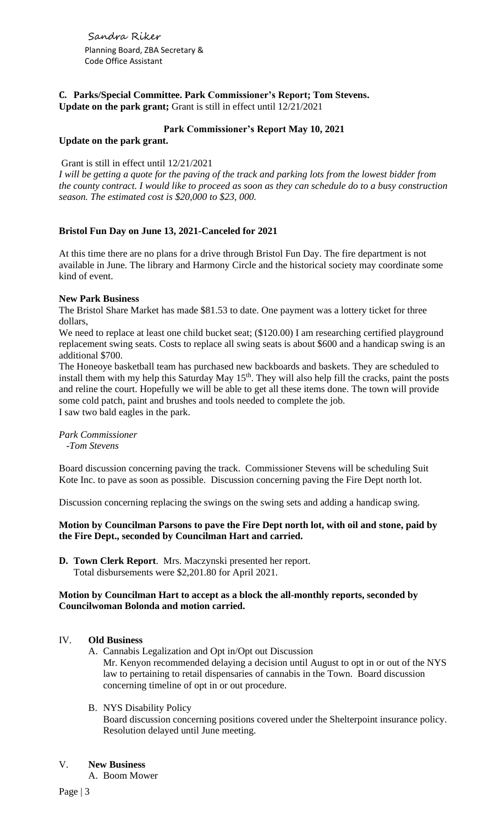Sandra Riker Planning Board, ZBA Secretary & Code Office Assistant

**C. Parks/Special Committee. Park Commissioner's Report; Tom Stevens. Update on the park grant;** Grant is still in effect until 12/21/2021

## **Park Commissioner's Report May 10, 2021**

## **Update on the park grant.**

#### Grant is still in effect until 12/21/2021

*I will be getting a quote for the paving of the track and parking lots from the lowest bidder from the county contract. I would like to proceed as soon as they can schedule do to a busy construction season. The estimated cost is \$20,000 to \$23, 000.*

## **Bristol Fun Day on June 13, 2021-Canceled for 2021**

At this time there are no plans for a drive through Bristol Fun Day. The fire department is not available in June. The library and Harmony Circle and the historical society may coordinate some kind of event.

#### **New Park Business**

The Bristol Share Market has made \$81.53 to date. One payment was a lottery ticket for three dollars,

We need to replace at least one child bucket seat; (\$120.00) I am researching certified playground replacement swing seats. Costs to replace all swing seats is about \$600 and a handicap swing is an additional \$700.

The Honeoye basketball team has purchased new backboards and baskets. They are scheduled to install them with my help this Saturday May 15<sup>th</sup>. They will also help fill the cracks, paint the posts and reline the court. Hopefully we will be able to get all these items done. The town will provide some cold patch, paint and brushes and tools needed to complete the job. I saw two bald eagles in the park.

*Park Commissioner*

 *-Tom Stevens*

Board discussion concerning paving the track. Commissioner Stevens will be scheduling Suit Kote Inc. to pave as soon as possible. Discussion concerning paving the Fire Dept north lot.

Discussion concerning replacing the swings on the swing sets and adding a handicap swing.

## **Motion by Councilman Parsons to pave the Fire Dept north lot, with oil and stone, paid by the Fire Dept., seconded by Councilman Hart and carried.**

**D. Town Clerk Report**. Mrs. Maczynski presented her report. Total disbursements were \$2,201.80 for April 2021.

## **Motion by Councilman Hart to accept as a block the all-monthly reports, seconded by Councilwoman Bolonda and motion carried.**

## IV. **Old Business**

- A. Cannabis Legalization and Opt in/Opt out Discussion Mr. Kenyon recommended delaying a decision until August to opt in or out of the NYS law to pertaining to retail dispensaries of cannabis in the Town. Board discussion concerning timeline of opt in or out procedure.
- B. NYS Disability Policy

Board discussion concerning positions covered under the Shelterpoint insurance policy. Resolution delayed until June meeting.

#### V. **New Business**

A. Boom Mower